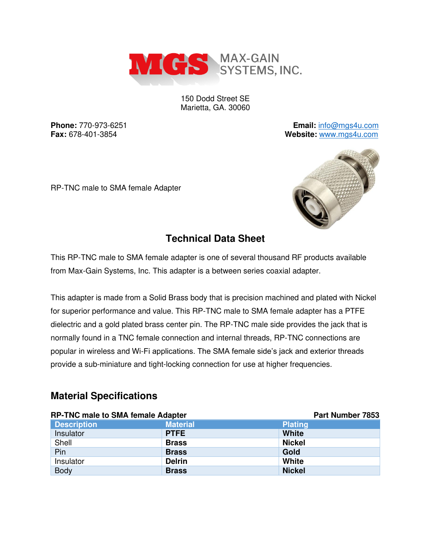

150 Dodd Street SE Marietta, GA. 30060

**Phone:** 770-973-6251 **Email:** [info@mgs4u.com](mailto:info@mgs4u.com) **Fax:** 678-401-3854 **Website:** [www.mgs4u.com](http://www.mgs4u.com/)

RP-TNC male to SMA female Adapter



#### **Technical Data Sheet**

This RP-TNC male to SMA female adapter is one of several thousand RF products available from Max-Gain Systems, Inc. This adapter is a between series coaxial adapter.

This adapter is made from a Solid Brass body that is precision machined and plated with Nickel for superior performance and value. This RP-TNC male to SMA female adapter has a PTFE dielectric and a gold plated brass center pin. The RP-TNC male side provides the jack that is normally found in a TNC female connection and internal threads, RP-TNC connections are popular in wireless and Wi-Fi applications. The SMA female side's jack and exterior threads provide a sub-miniature and tight-locking connection for use at higher frequencies.

### **Material Specifications**

| <b>RP-TNC male to SMA female Adapter</b> |                 | Part Number 7853 |
|------------------------------------------|-----------------|------------------|
| <b>Description</b>                       | <b>Material</b> | <b>Plating</b>   |
| Insulator                                | <b>PTFE</b>     | <b>White</b>     |
| Shell                                    | <b>Brass</b>    | <b>Nickel</b>    |
| Pin                                      | <b>Brass</b>    | Gold             |
| Insulator                                | <b>Delrin</b>   | <b>White</b>     |
| <b>Body</b>                              | <b>Brass</b>    | <b>Nickel</b>    |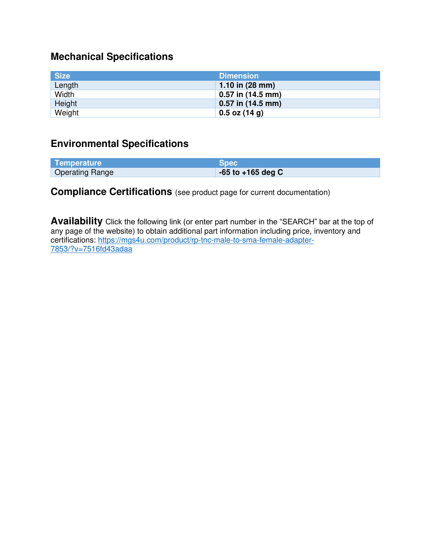# **Mechanical Specifications**

| <b>Size</b> | <b>Dimension</b>          |
|-------------|---------------------------|
| Length      | 1.10 in $(28 \text{ mm})$ |
| Width       | $0.57$ in (14.5 mm)       |
| Height      | $0.57$ in $(14.5$ mm)     |
| Weight      | $0.5$ oz (14 g)           |

## **Environmental Specifications**

| Temperature            | <b>Spec</b>           |
|------------------------|-----------------------|
| <b>Operating Range</b> | $-65$ to $+165$ deg C |

## **Compliance Certifications** (see product page for current documentation)

**Availability** Click the following link (or enter part number in the "SEARCH" bar at the top of any page of the website) to obtain additional part information including price, inventory and certifications: [https://mgs4u.com/product/rp-tnc-male-to-sma-female-adapter-](https://mgs4u.com/product/rp-tnc-male-to-sma-female-adapter-7853/?v=7516fd43adaa)[7853/?v=7516fd43adaa](https://mgs4u.com/product/rp-tnc-male-to-sma-female-adapter-7853/?v=7516fd43adaa)